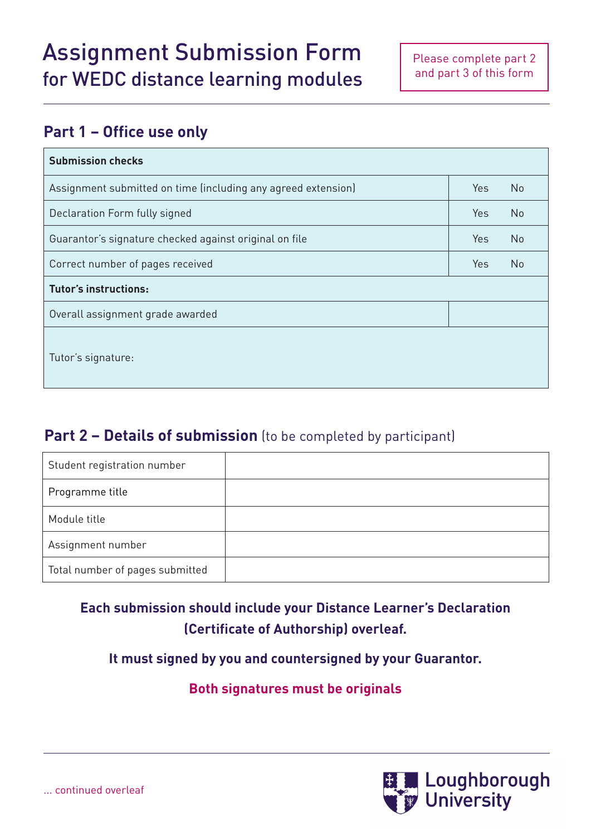## **Part 1 – Office use only**

| <b>Submission checks</b>                                      |            |                |  |  |
|---------------------------------------------------------------|------------|----------------|--|--|
| Assignment submitted on time (including any agreed extension) | Yes.       | N <sub>o</sub> |  |  |
| Declaration Form fully signed                                 | <b>Yes</b> | <b>No</b>      |  |  |
| Guarantor's signature checked against original on file        | <b>Yes</b> | <b>No</b>      |  |  |
| Correct number of pages received                              | <b>Yes</b> | No             |  |  |
| <b>Tutor's instructions:</b>                                  |            |                |  |  |
| Overall assignment grade awarded                              |            |                |  |  |
| Tutor's signature:                                            |            |                |  |  |

## **Part 2 - Details of submission** (to be completed by participant)

| Student registration number     |  |
|---------------------------------|--|
| Programme title                 |  |
| Module title                    |  |
| Assignment number               |  |
| Total number of pages submitted |  |

## **Each submission should include your Distance Learner's Declaration (Certificate of Authorship) overleaf.**

**It must signed by you and countersigned by your Guarantor.**

**Both signatures must be originals**